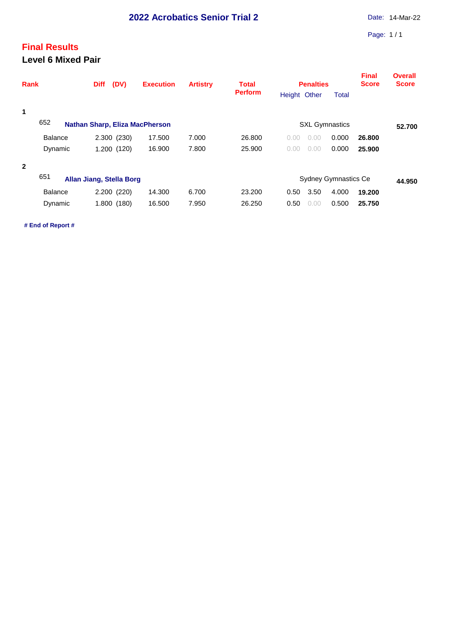## **Final Results Level 6 Mixed Pair**

| <b>Rank</b>  |                | <b>Diff</b>                           | (DV)                     | <b>Execution</b> | <b>Artistry</b> | <b>Total</b><br><b>Perform</b> |              | <b>Penalties</b> | <b>Final</b><br><b>Score</b> | <b>Overall</b><br><b>Score</b> |  |  |
|--------------|----------------|---------------------------------------|--------------------------|------------------|-----------------|--------------------------------|--------------|------------------|------------------------------|--------------------------------|--|--|
|              |                |                                       |                          |                  |                 |                                | Height Other |                  | <b>Total</b>                 |                                |  |  |
| 1            |                |                                       |                          |                  |                 |                                |              |                  |                              |                                |  |  |
|              | 652            | <b>Nathan Sharp, Eliza MacPherson</b> |                          |                  |                 |                                |              | 52.700           |                              |                                |  |  |
|              | <b>Balance</b> |                                       | 2.300 (230)              | 17.500           | 7.000           | 26,800                         | 0.00         | .00<br>0.        | 0.000                        | 26,800                         |  |  |
|              | Dynamic        |                                       | 1.200 (120)              | 16.900           | 7.800           | 25,900                         | 0.00         | 0.00             | 0.000                        | 25.900                         |  |  |
| $\mathbf{2}$ |                |                                       |                          |                  |                 |                                |              |                  |                              |                                |  |  |
|              | 651            |                                       | Allan Jiang, Stella Borg |                  |                 |                                |              |                  | <b>Sydney Gymnastics Ce</b>  |                                |  |  |
|              | <b>Balance</b> |                                       | 2.200 (220)              | 14.300           | 6.700           | 23.200                         | 0.50         | 3.50             | 4.000                        | 19,200                         |  |  |
|              | Dynamic        |                                       | 1.800 (180)              | 16.500           | 7.950           | 26.250                         | 0.50         | 0.00             | 0.500                        | 25.750                         |  |  |
|              |                |                                       |                          |                  |                 |                                |              |                  |                              |                                |  |  |

**# End of Report #**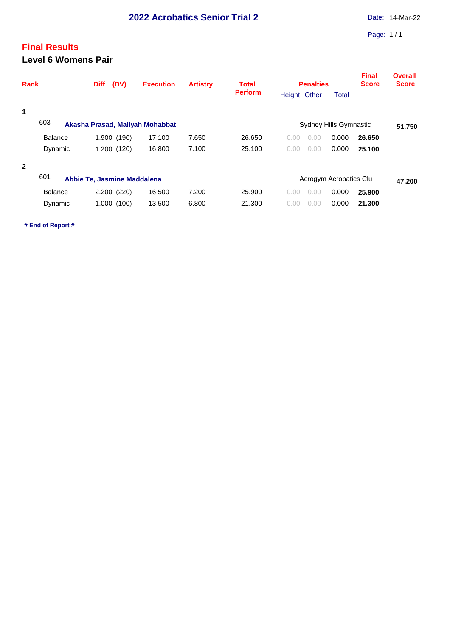## **Final Results Level 6 Womens Pair**

| <b>Perform</b><br>Height Other<br><b>Total</b><br>1<br>603<br>Sydney Hills Gymnastic<br>Akasha Prasad, Maliyah Mohabbat<br>1.900 (190)<br>7.650<br><b>Balance</b><br>17.100<br>26.650<br>0.000<br>0.00<br>26,650<br>0.00<br>7.100<br>16.800<br>0.000<br>1.200 (120)<br>25.100<br>Dynamic<br>25.100<br>0.00<br>0.00<br>$\mathbf{2}$<br>601<br>Abbie Te, Jasmine Maddalena<br>Acrogym Acrobatics Clu<br>2.200 (220)<br>16.500<br>7.200<br>25,900<br>0.000<br>25,900<br><b>Balance</b><br>0.00<br>0.00<br>13.500<br>6.800<br>0.000<br>1.000(100)<br>21.300<br>Dynamic<br>0.00<br>21.300<br>$\Omega$ | Rank | (DV)<br><b>Diff</b> | <b>Execution</b> | <b>Artistry</b> | <b>Total</b> | <b>Penalties</b> |        |  | <b>Final</b><br><b>Score</b> | <b>Overall</b><br><b>Score</b> |
|--------------------------------------------------------------------------------------------------------------------------------------------------------------------------------------------------------------------------------------------------------------------------------------------------------------------------------------------------------------------------------------------------------------------------------------------------------------------------------------------------------------------------------------------------------------------------------------------------|------|---------------------|------------------|-----------------|--------------|------------------|--------|--|------------------------------|--------------------------------|
|                                                                                                                                                                                                                                                                                                                                                                                                                                                                                                                                                                                                  |      |                     |                  |                 |              |                  |        |  |                              |                                |
|                                                                                                                                                                                                                                                                                                                                                                                                                                                                                                                                                                                                  |      |                     |                  |                 |              |                  |        |  |                              |                                |
|                                                                                                                                                                                                                                                                                                                                                                                                                                                                                                                                                                                                  |      |                     |                  |                 |              |                  | 51.750 |  |                              |                                |
|                                                                                                                                                                                                                                                                                                                                                                                                                                                                                                                                                                                                  |      |                     |                  |                 |              |                  |        |  |                              |                                |
|                                                                                                                                                                                                                                                                                                                                                                                                                                                                                                                                                                                                  |      |                     |                  |                 |              |                  |        |  |                              |                                |
|                                                                                                                                                                                                                                                                                                                                                                                                                                                                                                                                                                                                  |      |                     |                  |                 |              |                  |        |  |                              |                                |
|                                                                                                                                                                                                                                                                                                                                                                                                                                                                                                                                                                                                  |      |                     |                  |                 |              |                  |        |  |                              | 47.200                         |
|                                                                                                                                                                                                                                                                                                                                                                                                                                                                                                                                                                                                  |      |                     |                  |                 |              |                  |        |  |                              |                                |
|                                                                                                                                                                                                                                                                                                                                                                                                                                                                                                                                                                                                  |      |                     |                  |                 |              |                  |        |  |                              |                                |

**# End of Report #**